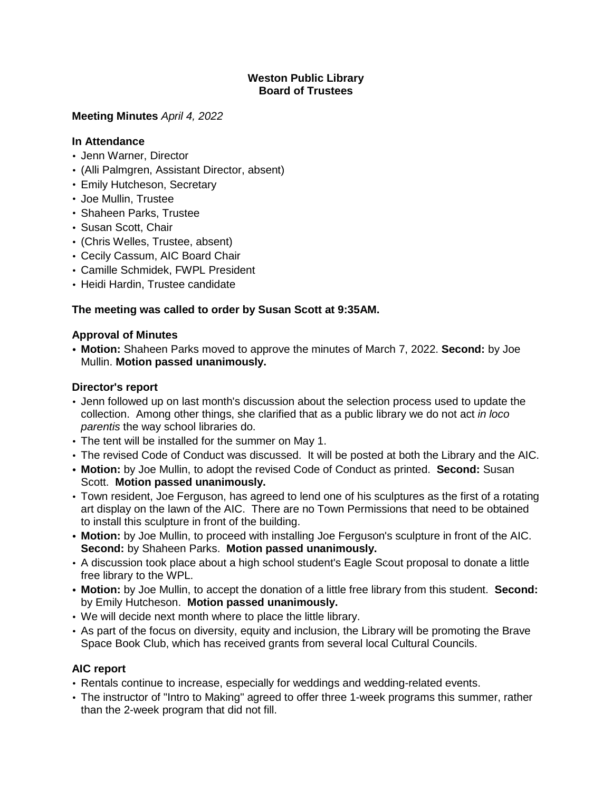### **Weston Public Library Board of Trustees**

### **Meeting Minutes** *April 4, 2022*

### **In Attendance**

- Jenn Warner, Director
- (Alli Palmgren, Assistant Director, absent)
- Emily Hutcheson, Secretary
- Joe Mullin, Trustee
- Shaheen Parks, Trustee
- Susan Scott, Chair
- (Chris Welles, Trustee, absent)
- Cecily Cassum, AIC Board Chair
- Camille Schmidek, FWPL President
- Heidi Hardin, Trustee candidate

# **The meeting was called to order by Susan Scott at 9:35AM.**

## **Approval of Minutes**

**• Motion:** Shaheen Parks moved to approve the minutes of March 7, 2022. **Second:** by Joe Mullin. **Motion passed unanimously.**

## **Director's report**

- Jenn followed up on last month's discussion about the selection process used to update the collection. Among other things, she clarified that as a public library we do not act *in loco parentis* the way school libraries do.
- The tent will be installed for the summer on May 1.
- The revised Code of Conduct was discussed. It will be posted at both the Library and the AIC.
- **• Motion:** by Joe Mullin, to adopt the revised Code of Conduct as printed. **Second:** Susan Scott. **Motion passed unanimously.**
- Town resident, Joe Ferguson, has agreed to lend one of his sculptures as the first of a rotating art display on the lawn of the AIC. There are no Town Permissions that need to be obtained to install this sculpture in front of the building.
- **• Motion:** by Joe Mullin, to proceed with installing Joe Ferguson's sculpture in front of the AIC. **Second:** by Shaheen Parks. **Motion passed unanimously.**
- A discussion took place about a high school student's Eagle Scout proposal to donate a little free library to the WPL.
- **• Motion:** by Joe Mullin, to accept the donation of a little free library from this student. **Second:** by Emily Hutcheson. **Motion passed unanimously.**
- We will decide next month where to place the little library.
- As part of the focus on diversity, equity and inclusion, the Library will be promoting the Brave Space Book Club, which has received grants from several local Cultural Councils.

## **AIC report**

- Rentals continue to increase, especially for weddings and wedding-related events.
- The instructor of "Intro to Making" agreed to offer three 1-week programs this summer, rather than the 2-week program that did not fill.